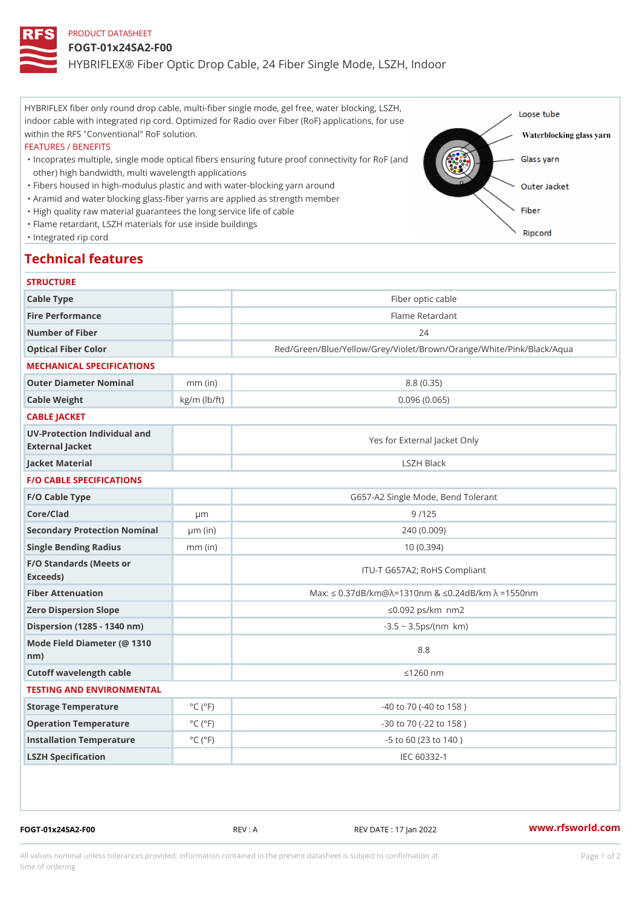# PRODUCT DATASHEET

### FOGT-01x24SA2-F00

HYBRIFLEX® Fiber Optic Drop Cable, 24 Fiber Single Mode, LSZH, Ind

HYBRIFLEX fiber only round drop cable, multi-fiber single mode, gel free, water blocking, LSZH, indoor cable with integrated rip cord. Optimized for Radio over Fiber (RoF) applications, for use within the RFS "Conventional" RoF solution.

#### FEATURES / BENEFITS

"Incoprates multiple, single mode optical fibers ensuring future proof connectivity for RoF (and other) high bandwidth, multi wavelength applications

- "Fibers housed in high-modulus plastic and with water-blocking yarn around
- "Aramid and water blocking glass-fiber yarns are applied as strength member
- "High quality raw material guarantees the long service life of cable
- "Flame retardant, LSZH materials for use inside buildings

"Integrated rip cord

# Technical features

| <b>STRUCTURE</b>                                 |                             |                                                                             |
|--------------------------------------------------|-----------------------------|-----------------------------------------------------------------------------|
| Cable Type                                       |                             | Fiber optic cable                                                           |
| Fire Performance                                 |                             | Flame Retardant                                                             |
| Number of Fiber                                  |                             | 24                                                                          |
| Optical Fiber Color                              |                             | Red/Green/Blue/Yellow/Grey/Violet/Brown/Orange/White/Pin                    |
| MECHANICAL SPECIFICATIONS                        |                             |                                                                             |
| Outer Diameter Nominal                           | $mm$ (in)                   | 8.8(0.35)                                                                   |
| Cable Weight                                     | $kg/m$ ( $lb/ft$ )          | 0.096(0.065)                                                                |
| CABLE JACKET                                     |                             |                                                                             |
| UV-Protection Individual and<br>External Jacket  |                             | Yes for External Jacket Only                                                |
| Jacket Material                                  |                             | LSZH Black                                                                  |
| <b>F/O CABLE SPECIFICATIONS</b>                  |                             |                                                                             |
| F/O Cable Type                                   |                             | G657-A2 Single Mode, Bend Tolerant                                          |
| Core/Clad                                        | $\mu$ m                     | 9/125                                                                       |
| Secondary Protection Nomimal(in)                 |                             | 240(0.009)                                                                  |
| Single Bending Radius                            | $mm$ (in)                   | 10(0.394)                                                                   |
| F/O Standards (Meets or<br>Exceeds)              |                             | ITU-T G657A2; RoHS Compliant                                                |
| Fiber Attenuation                                |                             | Max: "d $0.37$ dB/km @ $\sqrt{ }$ = 1310nm & "d0.24dB/km $\sqrt{ }$ = 1550n |
| Zero Dispersion Slope                            |                             | "d0.092 ps/km§•nm2                                                          |
| Dispersion (1285 - 1340 nm)                      |                             | $-3.5 - 3.5$ ps/(nm§• km)                                                   |
| Mode Field Diameter (@ 1310<br>$n \, \text{m}$ ) |                             | $8.8$                                                                       |
| Cutoff wavelength cable                          |                             | "d1260 nm                                                                   |
| TESTING AND ENVIRONMENTAL                        |                             |                                                                             |
| Storage Temperature                              | $^{\circ}$ C ( $^{\circ}$ F | $-40$ to $70$ ( $-40$ to $158$ )                                            |
| Operation Temperature                            | $^{\circ}$ C ( $^{\circ}$ F | $-30$ to $70$ ( $-22$ to $158$ )                                            |
| Installation Temperature                         | $^{\circ}$ C ( $^{\circ}$ F | $-5$ to 60 (23 to 140)                                                      |
| LSZH Specification                               |                             | IEC 60332-1                                                                 |

FOGT-01x24SA2-F00 REV : A REV DATE : 17 Jan 2022 [www.](https://www.rfsworld.com)rfsworld.com